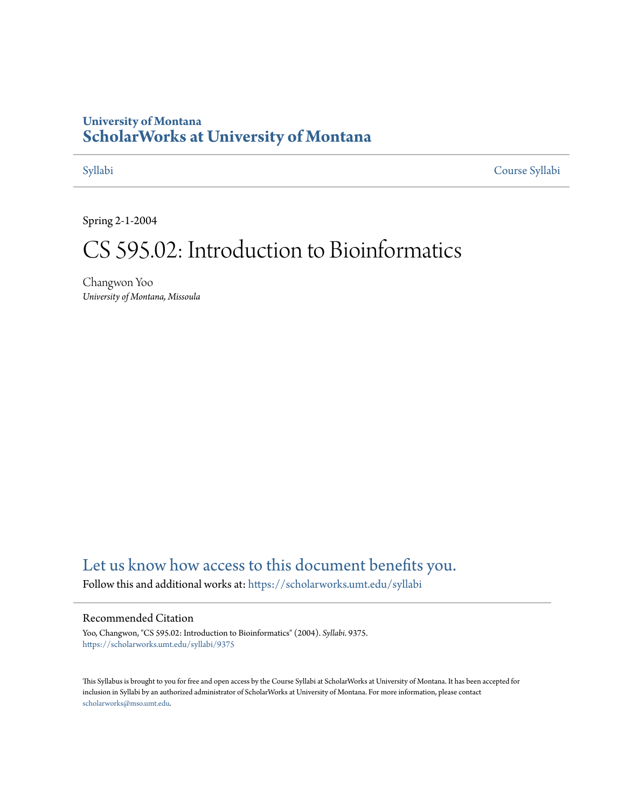#### **University of Montana [ScholarWorks at University of Montana](https://scholarworks.umt.edu?utm_source=scholarworks.umt.edu%2Fsyllabi%2F9375&utm_medium=PDF&utm_campaign=PDFCoverPages)**

[Syllabi](https://scholarworks.umt.edu/syllabi?utm_source=scholarworks.umt.edu%2Fsyllabi%2F9375&utm_medium=PDF&utm_campaign=PDFCoverPages) [Course Syllabi](https://scholarworks.umt.edu/course_syllabi?utm_source=scholarworks.umt.edu%2Fsyllabi%2F9375&utm_medium=PDF&utm_campaign=PDFCoverPages)

Spring 2-1-2004

# CS 595.02: Introduction to Bioinformatics

Changwon Yoo *University of Montana, Missoula*

### [Let us know how access to this document benefits you.](https://goo.gl/forms/s2rGfXOLzz71qgsB2)

Follow this and additional works at: [https://scholarworks.umt.edu/syllabi](https://scholarworks.umt.edu/syllabi?utm_source=scholarworks.umt.edu%2Fsyllabi%2F9375&utm_medium=PDF&utm_campaign=PDFCoverPages)

#### Recommended Citation

Yoo, Changwon, "CS 595.02: Introduction to Bioinformatics" (2004). *Syllabi*. 9375. [https://scholarworks.umt.edu/syllabi/9375](https://scholarworks.umt.edu/syllabi/9375?utm_source=scholarworks.umt.edu%2Fsyllabi%2F9375&utm_medium=PDF&utm_campaign=PDFCoverPages)

This Syllabus is brought to you for free and open access by the Course Syllabi at ScholarWorks at University of Montana. It has been accepted for inclusion in Syllabi by an authorized administrator of ScholarWorks at University of Montana. For more information, please contact [scholarworks@mso.umt.edu](mailto:scholarworks@mso.umt.edu).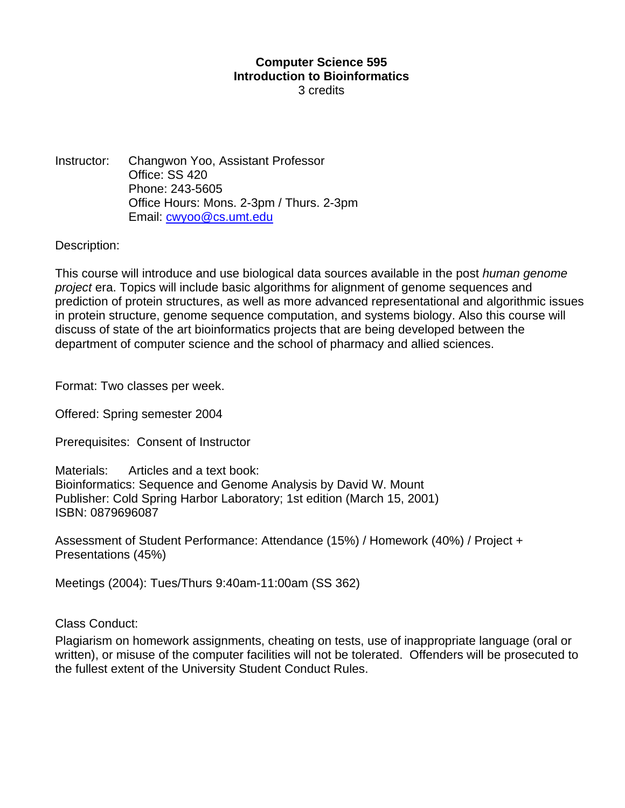## **Computer Science 595 Introduction to Bioinformatics**

3 credits

Instructor: Changwon Yoo, Assistant Professor Office: SS 420 Phone: 243-5605 Office Hours: Mons. 2-3pm / Thurs. 2-3pm Email: cwyoo@cs.umt.edu

Description:

This course will introduce and use biological data sources available in the post *human genome project* era. Topics will include basic algorithms for alignment of genome sequences and prediction of protein structures, as well as more advanced representational and algorithmic issues in protein structure, genome sequence computation, and systems biology. Also this course will discuss of state of the art bioinformatics projects that are being developed between the department of computer science and the school of pharmacy and allied sciences.

Format: Two classes per week.

Offered: Spring semester 2004

Prerequisites: Consent of Instructor

Materials: Articles and a text book: Bioinformatics: Sequence and Genome Analysis by David W. Mount Publisher: Cold Spring Harbor Laboratory; 1st edition (March 15, 2001) ISBN: 0879696087

Assessment of Student Performance: Attendance (15%) / Homework (40%) / Project + Presentations (45%)

Meetings (2004): Tues/Thurs 9:40am-11:00am (SS 362)

Class Conduct:

Plagiarism on homework assignments, cheating on tests, use of inappropriate language (oral or written), or misuse of the computer facilities will not be tolerated. Offenders will be prosecuted to the fullest extent of the University Student Conduct Rules.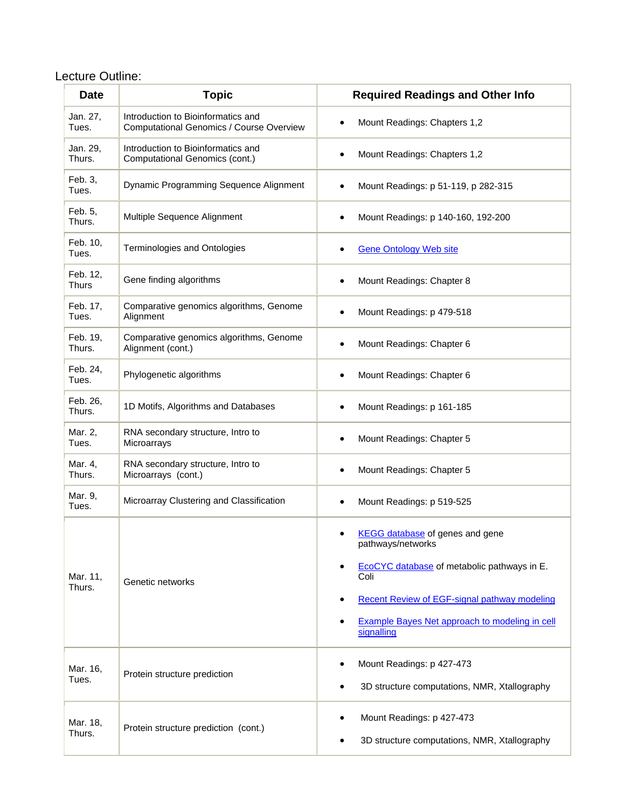#### Lecture Outline:

| <b>Date</b>        | <b>Topic</b>                                                                   | <b>Required Readings and Other Info</b>                                                                                                                                                                                                              |
|--------------------|--------------------------------------------------------------------------------|------------------------------------------------------------------------------------------------------------------------------------------------------------------------------------------------------------------------------------------------------|
| Jan. 27,<br>Tues.  | Introduction to Bioinformatics and<br>Computational Genomics / Course Overview | Mount Readings: Chapters 1,2                                                                                                                                                                                                                         |
| Jan. 29,<br>Thurs. | Introduction to Bioinformatics and<br>Computational Genomics (cont.)           | Mount Readings: Chapters 1,2                                                                                                                                                                                                                         |
| Feb. 3,<br>Tues.   | Dynamic Programming Sequence Alignment                                         | Mount Readings: p 51-119, p 282-315                                                                                                                                                                                                                  |
| Feb. 5,<br>Thurs.  | Multiple Sequence Alignment                                                    | Mount Readings: p 140-160, 192-200                                                                                                                                                                                                                   |
| Feb. 10,<br>Tues.  | Terminologies and Ontologies                                                   | <b>Gene Ontology Web site</b>                                                                                                                                                                                                                        |
| Feb. 12,<br>Thurs  | Gene finding algorithms                                                        | Mount Readings: Chapter 8                                                                                                                                                                                                                            |
| Feb. 17,<br>Tues.  | Comparative genomics algorithms, Genome<br>Alignment                           | Mount Readings: p 479-518                                                                                                                                                                                                                            |
| Feb. 19,<br>Thurs. | Comparative genomics algorithms, Genome<br>Alignment (cont.)                   | Mount Readings: Chapter 6                                                                                                                                                                                                                            |
| Feb. 24,<br>Tues.  | Phylogenetic algorithms                                                        | Mount Readings: Chapter 6                                                                                                                                                                                                                            |
| Feb. 26,<br>Thurs. | 1D Motifs, Algorithms and Databases                                            | Mount Readings: p 161-185                                                                                                                                                                                                                            |
| Mar. 2,<br>Tues.   | RNA secondary structure, Intro to<br>Microarrays                               | Mount Readings: Chapter 5<br>٠                                                                                                                                                                                                                       |
| Mar. 4,<br>Thurs.  | RNA secondary structure, Intro to<br>Microarrays (cont.)                       | Mount Readings: Chapter 5                                                                                                                                                                                                                            |
| Mar. 9,<br>Tues.   | Microarray Clustering and Classification                                       | Mount Readings: p 519-525                                                                                                                                                                                                                            |
| Mar. 11,<br>Thurs. | Genetic networks                                                               | KEGG database of genes and gene<br>pathways/networks<br>EcoCYC database of metabolic pathways in E.<br>Coli<br>Recent Review of EGF-signal pathway modeling<br>٠<br><b>Example Bayes Net approach to modeling in cell</b><br>$\bullet$<br>signalling |
| Mar. 16,<br>Tues.  | Protein structure prediction                                                   | Mount Readings: p 427-473<br>3D structure computations, NMR, Xtallography                                                                                                                                                                            |
| Mar. 18,<br>Thurs. | Protein structure prediction (cont.)                                           | Mount Readings: p 427-473<br>3D structure computations, NMR, Xtallography                                                                                                                                                                            |